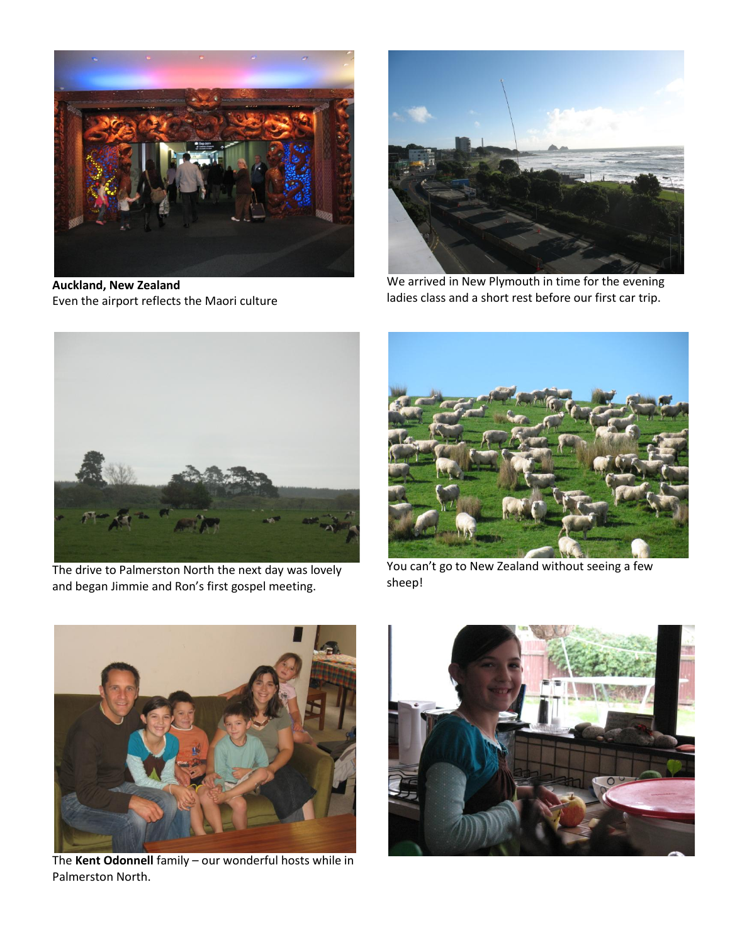

**Auckland, New Zealand** Even the airport reflects the Maori culture



We arrived in New Plymouth in time for the evening ladies class and a short rest before our first car trip.



The drive to Palmerston North the next day was lovely and began Jimmie and Ron's first gospel meeting.



You can't go to New Zealand without seeing a few sheep!



The **Kent Odonnell** family – our wonderful hosts while in Palmerston North.

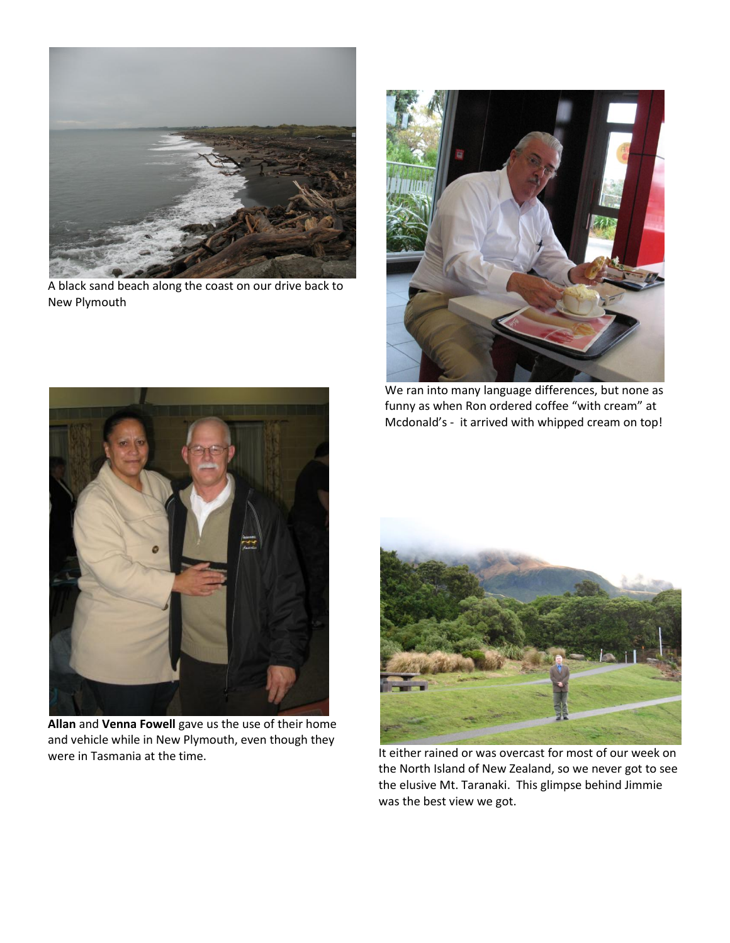

A black sand beach along the coast on our drive back to New Plymouth



We ran into many language differences, but none as funny as when Ron ordered coffee "with cream" at Mcdonald's - it arrived with whipped cream on top!



**Allan** and **Venna Fowell** gave us the use of their home and vehicle while in New Plymouth, even though they were in Tasmania at the time.



It either rained or was overcast for most of our week on the North Island of New Zealand, so we never got to see the elusive Mt. Taranaki. This glimpse behind Jimmie was the best view we got.